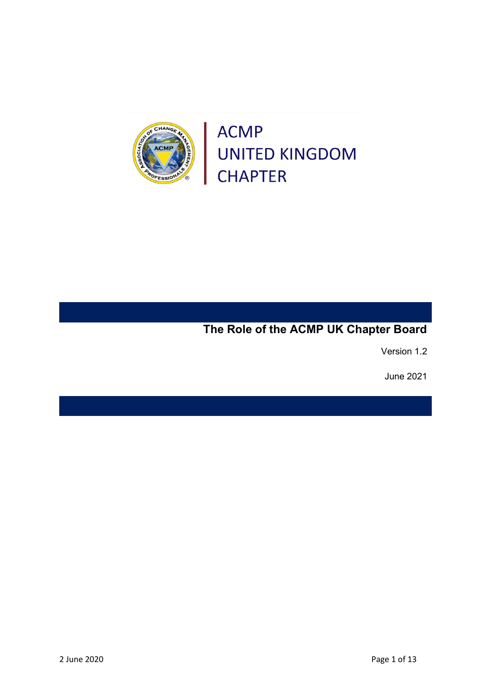

OF CHANG



Version 1.2

June 2021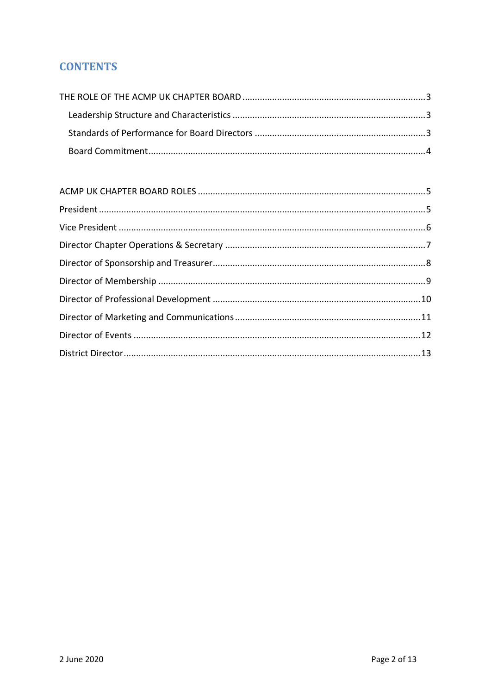# **CONTENTS**

<span id="page-1-0"></span>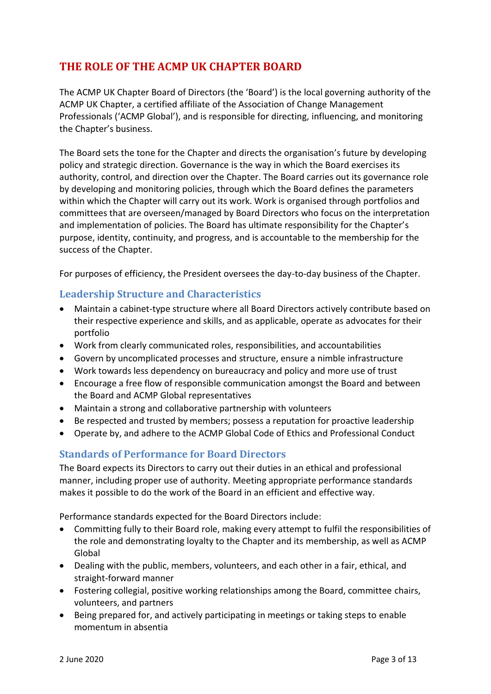# **THE ROLE OF THE ACMP UK CHAPTER BOARD**

The ACMP UK Chapter Board of Directors (the 'Board') is the local governing authority of the ACMP UK Chapter, a certified affiliate of the Association of Change Management Professionals ('ACMP Global'), and is responsible for directing, influencing, and monitoring the Chapter's business.

The Board sets the tone for the Chapter and directs the organisation's future by developing policy and strategic direction. Governance is the way in which the Board exercises its authority, control, and direction over the Chapter. The Board carries out its governance role by developing and monitoring policies, through which the Board defines the parameters within which the Chapter will carry out its work. Work is organised through portfolios and committees that are overseen/managed by Board Directors who focus on the interpretation and implementation of policies. The Board has ultimate responsibility for the Chapter's purpose, identity, continuity, and progress, and is accountable to the membership for the success of the Chapter.

For purposes of efficiency, the President oversees the day-to-day business of the Chapter.

# <span id="page-2-0"></span>**Leadership Structure and Characteristics**

- Maintain a cabinet-type structure where all Board Directors actively contribute based on their respective experience and skills, and as applicable, operate as advocates for their portfolio
- Work from clearly communicated roles, responsibilities, and accountabilities
- Govern by uncomplicated processes and structure, ensure a nimble infrastructure
- Work towards less dependency on bureaucracy and policy and more use of trust
- Encourage a free flow of responsible communication amongst the Board and between the Board and ACMP Global representatives
- Maintain a strong and collaborative partnership with volunteers
- Be respected and trusted by members; possess a reputation for proactive leadership
- Operate by, and adhere to the [ACMP Global Code of Ethics and Professional Conduct](https://www.acmpglobal.org/page/the_standard)

# <span id="page-2-1"></span>**Standards of Performance for Board Directors**

The Board expects its Directors to carry out their duties in an ethical and professional manner, including proper use of authority. Meeting appropriate performance standards makes it possible to do the work of the Board in an efficient and effective way.

Performance standards expected for the Board Directors include:

- Committing fully to their Board role, making every attempt to fulfil the responsibilities of the role and demonstrating loyalty to the Chapter and its membership, as well as ACMP Global
- Dealing with the public, members, volunteers, and each other in a fair, ethical, and straight‐forward manner
- Fostering collegial, positive working relationships among the Board, committee chairs, volunteers, and partners
- Being prepared for, and actively participating in meetings or taking steps to enable momentum in absentia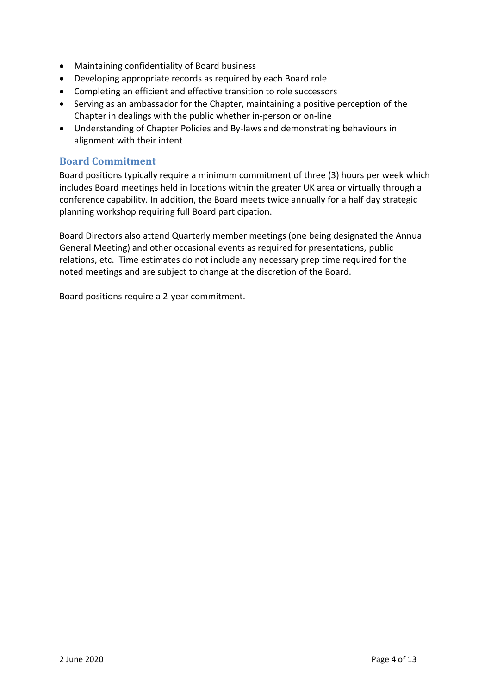- Maintaining confidentiality of Board business
- Developing appropriate records as required by each Board role
- Completing an efficient and effective transition to role successors
- Serving as an ambassador for the Chapter, maintaining a positive perception of the Chapter in dealings with the public whether in‐person or on‐line
- Understanding of Chapter Policies and By‐laws and demonstrating behaviours in alignment with their intent

### <span id="page-3-0"></span>**Board Commitment**

Board positions typically require a minimum commitment of three (3) hours per week which includes Board meetings held in locations within the greater UK area or virtually through a conference capability. In addition, the Board meets twice annually for a half day strategic planning workshop requiring full Board participation.

Board Directors also attend Quarterly member meetings (one being designated the Annual General Meeting) and other occasional events as required for presentations, public relations, etc. Time estimates do not include any necessary prep time required for the noted meetings and are subject to change at the discretion of the Board.

Board positions require a 2‐year commitment.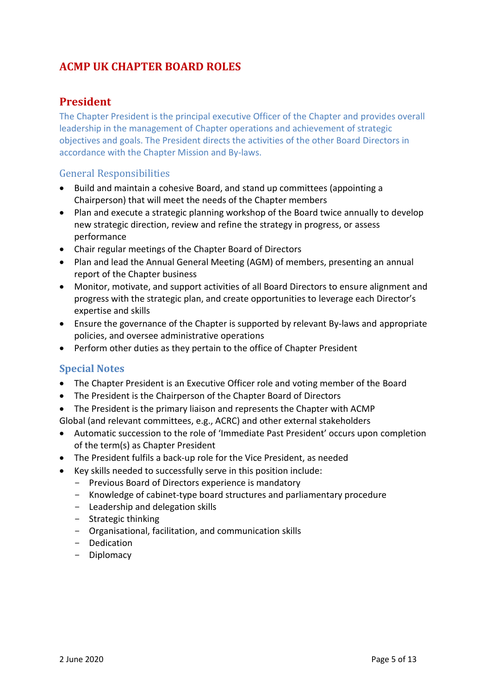# <span id="page-4-1"></span><span id="page-4-0"></span>**ACMP UK CHAPTER BOARD ROLES**

# **President**

The Chapter President is the principal executive Officer of the Chapter and provides overall leadership in the management of Chapter operations and achievement of strategic objectives and goals. The President directs the activities of the other Board Directors in accordance with the Chapter Mission and By‐laws.

### General Responsibilities

- Build and maintain a cohesive Board, and stand up committees (appointing a Chairperson) that will meet the needs of the Chapter members
- Plan and execute a strategic planning workshop of the Board twice annually to develop new strategic direction, review and refine the strategy in progress, or assess performance
- Chair regular meetings of the Chapter Board of Directors
- Plan and lead the Annual General Meeting (AGM) of members, presenting an annual report of the Chapter business
- Monitor, motivate, and support activities of all Board Directors to ensure alignment and progress with the strategic plan, and create opportunities to leverage each Director's expertise and skills
- Ensure the governance of the Chapter is supported by relevant By‐laws and appropriate policies, and oversee administrative operations
- Perform other duties as they pertain to the office of Chapter President

- The Chapter President is an Executive Officer role and voting member of the Board
- The President is the Chairperson of the Chapter Board of Directors
- The President is the primary liaison and represents the Chapter with ACMP
- Global (and relevant committees, e.g., ACRC) and other external stakeholders
- Automatic succession to the role of 'Immediate Past President' occurs upon completion of the term(s) as Chapter President
- The President fulfils a back‐up role for the Vice President, as needed
- Key skills needed to successfully serve in this position include:
	- Previous Board of Directors experience is mandatory
	- Knowledge of cabinet-type board structures and parliamentary procedure
	- Leadership and delegation skills
	- Strategic thinking
	- Organisational, facilitation, and communication skills
	- Dedication
	- Diplomacy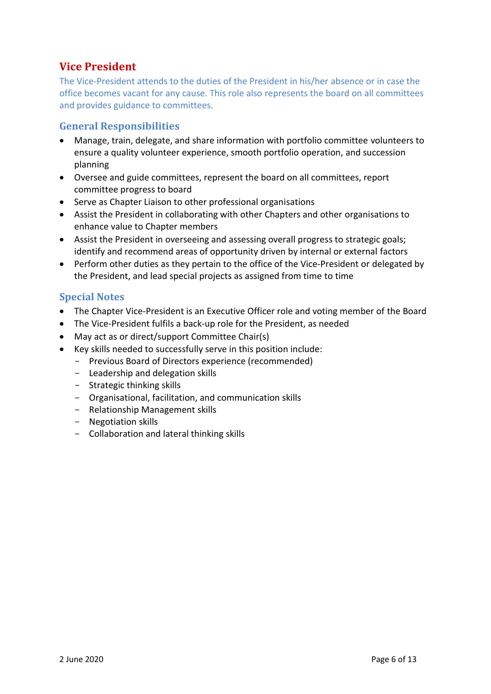# <span id="page-5-0"></span>**Vice President**

The Vice‐President attends to the duties of the President in his/her absence or in case the office becomes vacant for any cause. This role also represents the board on all committees and provides guidance to committees.

# **General Responsibilities**

- Manage, train, delegate, and share information with portfolio committee volunteers to ensure a quality volunteer experience, smooth portfolio operation, and succession planning
- Oversee and guide committees, represent the board on all committees, report committee progress to board
- Serve as Chapter Liaison to other professional organisations
- Assist the President in collaborating with other Chapters and other organisations to enhance value to Chapter members
- Assist the President in overseeing and assessing overall progress to strategic goals; identify and recommend areas of opportunity driven by internal or external factors
- Perform other duties as they pertain to the office of the Vice-President or delegated by the President, and lead special projects as assigned from time to time

- The Chapter Vice‐President is an Executive Officer role and voting member of the Board
- The Vice‐President fulfils a back‐up role for the President, as needed
- May act as or direct/support Committee Chair(s)
- Key skills needed to successfully serve in this position include:
	- Previous Board of Directors experience (recommended)
	- Leadership and delegation skills
	- Strategic thinking skills
	- Organisational, facilitation, and communication skills
	- Relationship Management skills
	- Negotiation skills
	- Collaboration and lateral thinking skills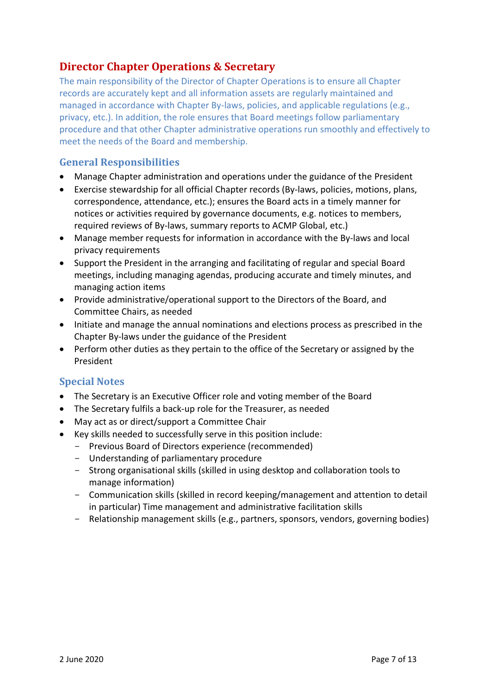# <span id="page-6-0"></span>**Director Chapter Operations & Secretary**

The main responsibility of the Director of Chapter Operations is to ensure all Chapter records are accurately kept and all information assets are regularly maintained and managed in accordance with Chapter By-laws, policies, and applicable regulations (e.g., privacy, etc.). In addition, the role ensures that Board meetings follow parliamentary procedure and that other Chapter administrative operations run smoothly and effectively to meet the needs of the Board and membership.

### **General Responsibilities**

- Manage Chapter administration and operations under the guidance of the President
- Exercise stewardship for all official Chapter records (By‐laws, policies, motions, plans, correspondence, attendance, etc.); ensures the Board acts in a timely manner for notices or activities required by governance documents, e.g. notices to members, required reviews of By‐laws, summary reports to ACMP Global, etc.)
- Manage member requests for information in accordance with the By‐laws and local privacy requirements
- Support the President in the arranging and facilitating of regular and special Board meetings, including managing agendas, producing accurate and timely minutes, and managing action items
- Provide administrative/operational support to the Directors of the Board, and Committee Chairs, as needed
- Initiate and manage the annual nominations and elections process as prescribed in the Chapter By‐laws under the guidance of the President
- Perform other duties as they pertain to the office of the Secretary or assigned by the President

- The Secretary is an Executive Officer role and voting member of the Board
- The Secretary fulfils a back‐up role for the Treasurer, as needed
- May act as or direct/support a Committee Chair
- Key skills needed to successfully serve in this position include:
	- Previous Board of Directors experience (recommended)
	- Understanding of parliamentary procedure
	- Strong organisational skills (skilled in using desktop and collaboration tools to manage information)
	- Communication skills (skilled in record keeping/management and attention to detail in particular) Time management and administrative facilitation skills
	- Relationship management skills (e.g., partners, sponsors, vendors, governing bodies)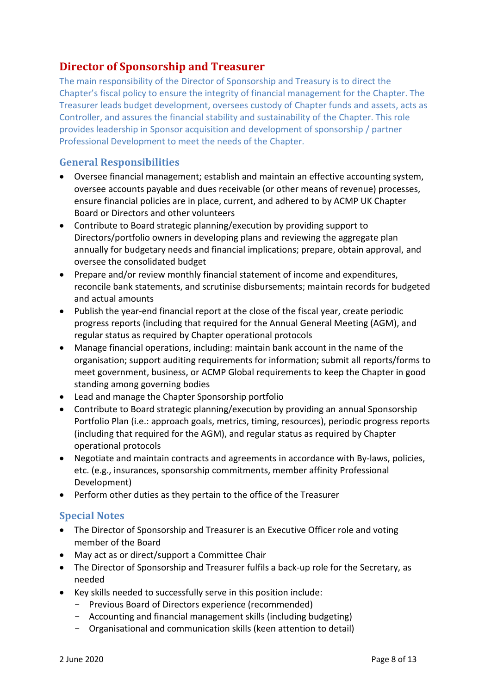# <span id="page-7-0"></span>**Director of Sponsorship and Treasurer**

The main responsibility of the Director of Sponsorship and Treasury is to direct the Chapter's fiscal policy to ensure the integrity of financial management for the Chapter. The Treasurer leads budget development, oversees custody of Chapter funds and assets, acts as Controller, and assures the financial stability and sustainability of the Chapter. This role provides leadership in Sponsor acquisition and development of sponsorship / partner Professional Development to meet the needs of the Chapter.

# **General Responsibilities**

- Oversee financial management; establish and maintain an effective accounting system, oversee accounts payable and dues receivable (or other means of revenue) processes, ensure financial policies are in place, current, and adhered to by ACMP UK Chapter Board or Directors and other volunteers
- Contribute to Board strategic planning/execution by providing support to Directors/portfolio owners in developing plans and reviewing the aggregate plan annually for budgetary needs and financial implications; prepare, obtain approval, and oversee the consolidated budget
- Prepare and/or review monthly financial statement of income and expenditures, reconcile bank statements, and scrutinise disbursements; maintain records for budgeted and actual amounts
- Publish the year‐end financial report at the close of the fiscal year, create periodic progress reports (including that required for the Annual General Meeting (AGM), and regular status as required by Chapter operational protocols
- Manage financial operations, including: maintain bank account in the name of the organisation; support auditing requirements for information; submit all reports/forms to meet government, business, or ACMP Global requirements to keep the Chapter in good standing among governing bodies
- Lead and manage the Chapter Sponsorship portfolio
- Contribute to Board strategic planning/execution by providing an annual Sponsorship Portfolio Plan (i.e.: approach goals, metrics, timing, resources), periodic progress reports (including that required for the AGM), and regular status as required by Chapter operational protocols
- Negotiate and maintain contracts and agreements in accordance with By‐laws, policies, etc. (e.g., insurances, sponsorship commitments, member affinity Professional Development)
- Perform other duties as they pertain to the office of the Treasurer

- The Director of Sponsorship and Treasurer is an Executive Officer role and voting member of the Board
- May act as or direct/support a Committee Chair
- The Director of Sponsorship and Treasurer fulfils a back‐up role for the Secretary, as needed
- Key skills needed to successfully serve in this position include:
	- Previous Board of Directors experience (recommended)
	- Accounting and financial management skills (including budgeting)
	- Organisational and communication skills (keen attention to detail)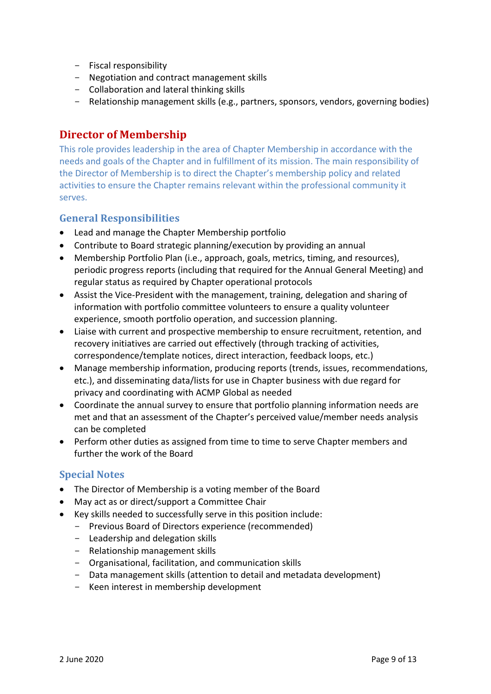- Fiscal responsibility
- Negotiation and contract management skills
- Collaboration and lateral thinking skills
- <span id="page-8-0"></span>- Relationship management skills (e.g., partners, sponsors, vendors, governing bodies)

# **Director of Membership**

This role provides leadership in the area of Chapter Membership in accordance with the needs and goals of the Chapter and in fulfillment of its mission. The main responsibility of the Director of Membership is to direct the Chapter's membership policy and related activities to ensure the Chapter remains relevant within the professional community it serves.

### **General Responsibilities**

- Lead and manage the Chapter Membership portfolio
- Contribute to Board strategic planning/execution by providing an annual
- Membership Portfolio Plan (i.e., approach, goals, metrics, timing, and resources), periodic progress reports (including that required for the Annual General Meeting) and regular status as required by Chapter operational protocols
- Assist the Vice-President with the management, training, delegation and sharing of information with portfolio committee volunteers to ensure a quality volunteer experience, smooth portfolio operation, and succession planning.
- Liaise with current and prospective membership to ensure recruitment, retention, and recovery initiatives are carried out effectively (through tracking of activities, correspondence/template notices, direct interaction, feedback loops, etc.)
- Manage membership information, producing reports (trends, issues, recommendations, etc.), and disseminating data/lists for use in Chapter business with due regard for privacy and coordinating with ACMP Global as needed
- Coordinate the annual survey to ensure that portfolio planning information needs are met and that an assessment of the Chapter's perceived value/member needs analysis can be completed
- Perform other duties as assigned from time to time to serve Chapter members and further the work of the Board

- The Director of Membership is a voting member of the Board
- May act as or direct/support a Committee Chair
- Key skills needed to successfully serve in this position include:
	- Previous Board of Directors experience (recommended)
	- Leadership and delegation skills
	- Relationship management skills
	- Organisational, facilitation, and communication skills
	- Data management skills (attention to detail and metadata development)
	- Keen interest in membership development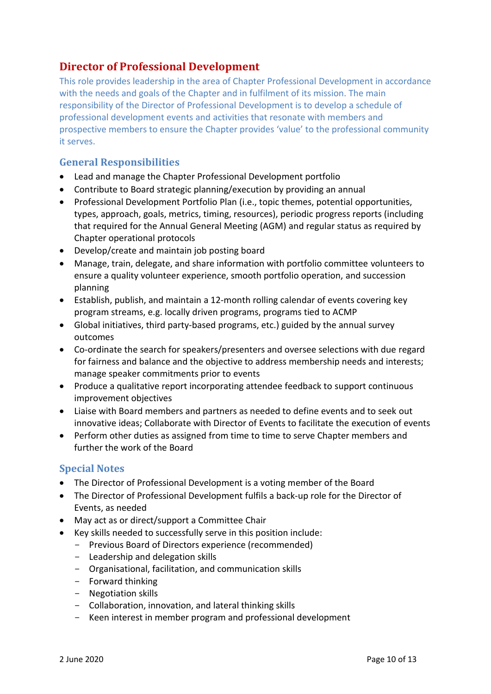# <span id="page-9-0"></span>**Director of Professional Development**

This role provides leadership in the area of Chapter Professional Development in accordance with the needs and goals of the Chapter and in fulfilment of its mission. The main responsibility of the Director of Professional Development is to develop a schedule of professional development events and activities that resonate with members and prospective members to ensure the Chapter provides 'value' to the professional community it serves.

### **General Responsibilities**

- Lead and manage the Chapter Professional Development portfolio
- Contribute to Board strategic planning/execution by providing an annual
- Professional Development Portfolio Plan (i.e., topic themes, potential opportunities, types, approach, goals, metrics, timing, resources), periodic progress reports (including that required for the Annual General Meeting (AGM) and regular status as required by Chapter operational protocols
- Develop/create and maintain job posting board
- Manage, train, delegate, and share information with portfolio committee volunteers to ensure a quality volunteer experience, smooth portfolio operation, and succession planning
- Establish, publish, and maintain a 12-month rolling calendar of events covering key program streams, e.g. locally driven programs, programs tied to ACMP
- Global initiatives, third party-based programs, etc.) guided by the annual survey outcomes
- Co-ordinate the search for speakers/presenters and oversee selections with due regard for fairness and balance and the objective to address membership needs and interests; manage speaker commitments prior to events
- Produce a qualitative report incorporating attendee feedback to support continuous improvement objectives
- Liaise with Board members and partners as needed to define events and to seek out innovative ideas; Collaborate with Director of Events to facilitate the execution of events
- Perform other duties as assigned from time to time to serve Chapter members and further the work of the Board

- The Director of Professional Development is a voting member of the Board
- The Director of Professional Development fulfils a back‐up role for the Director of Events, as needed
- May act as or direct/support a Committee Chair
- Key skills needed to successfully serve in this position include:
	- Previous Board of Directors experience (recommended)
		- Leadership and delegation skills
		- Organisational, facilitation, and communication skills
		- Forward thinking
		- Negotiation skills
		- Collaboration, innovation, and lateral thinking skills
		- Keen interest in member program and professional development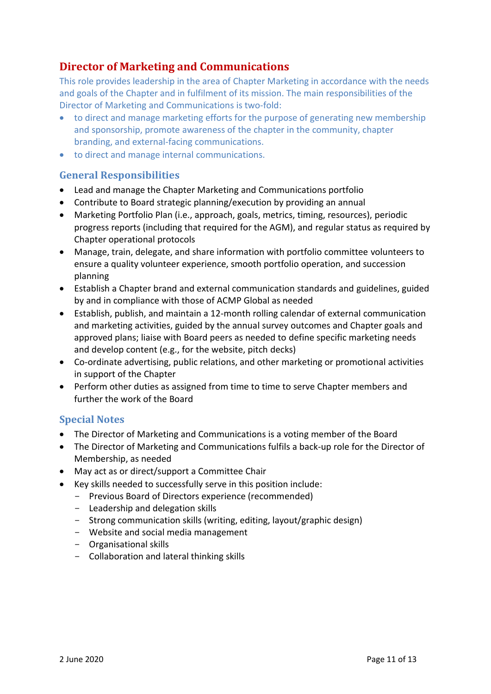# <span id="page-10-0"></span>**Director of Marketing and Communications**

This role provides leadership in the area of Chapter Marketing in accordance with the needs and goals of the Chapter and in fulfilment of its mission. The main responsibilities of the Director of Marketing and Communications is two-fold:

- to direct and manage marketing efforts for the purpose of generating new membership and sponsorship, promote awareness of the chapter in the community, chapter branding, and external-facing communications.
- to direct and manage internal communications.

# **General Responsibilities**

- Lead and manage the Chapter Marketing and Communications portfolio
- Contribute to Board strategic planning/execution by providing an annual
- Marketing Portfolio Plan (i.e., approach, goals, metrics, timing, resources), periodic progress reports (including that required for the AGM), and regular status as required by Chapter operational protocols
- Manage, train, delegate, and share information with portfolio committee volunteers to ensure a quality volunteer experience, smooth portfolio operation, and succession planning
- Establish a Chapter brand and external communication standards and guidelines, guided by and in compliance with those of ACMP Global as needed
- Establish, publish, and maintain a 12-month rolling calendar of external communication and marketing activities, guided by the annual survey outcomes and Chapter goals and approved plans; liaise with Board peers as needed to define specific marketing needs and develop content (e.g., for the website, pitch decks)
- Co-ordinate advertising, public relations, and other marketing or promotional activities in support of the Chapter
- Perform other duties as assigned from time to time to serve Chapter members and further the work of the Board

- The Director of Marketing and Communications is a voting member of the Board
- The Director of Marketing and Communications fulfils a back‐up role for the Director of Membership, as needed
- May act as or direct/support a Committee Chair
- Key skills needed to successfully serve in this position include:
	- Previous Board of Directors experience (recommended)
	- Leadership and delegation skills
	- Strong communication skills (writing, editing, layout/graphic design)
	- Website and social media management
	- Organisational skills
	- Collaboration and lateral thinking skills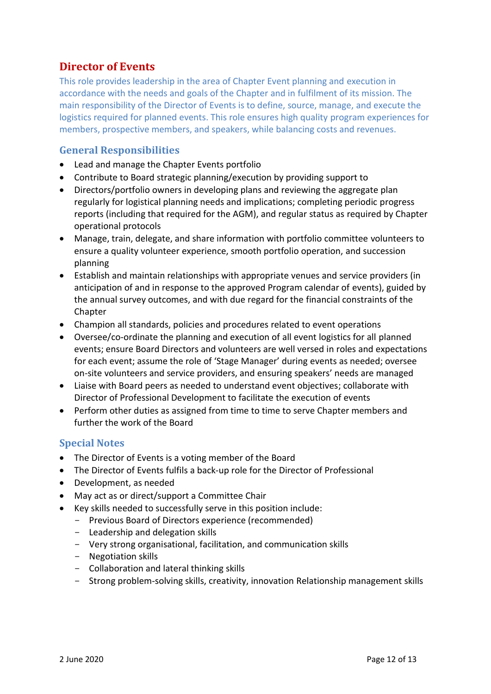# <span id="page-11-0"></span>**Director of Events**

This role provides leadership in the area of Chapter Event planning and execution in accordance with the needs and goals of the Chapter and in fulfilment of its mission. The main responsibility of the Director of Events is to define, source, manage, and execute the logistics required for planned events. This role ensures high quality program experiences for members, prospective members, and speakers, while balancing costs and revenues.

### **General Responsibilities**

- Lead and manage the Chapter Events portfolio
- Contribute to Board strategic planning/execution by providing support to
- Directors/portfolio owners in developing plans and reviewing the aggregate plan regularly for logistical planning needs and implications; completing periodic progress reports (including that required for the AGM), and regular status as required by Chapter operational protocols
- Manage, train, delegate, and share information with portfolio committee volunteers to ensure a quality volunteer experience, smooth portfolio operation, and succession planning
- Establish and maintain relationships with appropriate venues and service providers (in anticipation of and in response to the approved Program calendar of events), guided by the annual survey outcomes, and with due regard for the financial constraints of the **Chapter**
- Champion all standards, policies and procedures related to event operations
- Oversee/co-ordinate the planning and execution of all event logistics for all planned events; ensure Board Directors and volunteers are well versed in roles and expectations for each event; assume the role of 'Stage Manager' during events as needed; oversee on‐site volunteers and service providers, and ensuring speakers' needs are managed
- Liaise with Board peers as needed to understand event objectives; collaborate with Director of Professional Development to facilitate the execution of events
- Perform other duties as assigned from time to time to serve Chapter members and further the work of the Board

- The Director of Events is a voting member of the Board
- The Director of Events fulfils a back‐up role for the Director of Professional
- Development, as needed
- May act as or direct/support a Committee Chair
- Key skills needed to successfully serve in this position include:
	- Previous Board of Directors experience (recommended)
	- Leadership and delegation skills
	- Very strong organisational, facilitation, and communication skills
	- Negotiation skills
	- Collaboration and lateral thinking skills
	- Strong problem-solving skills, creativity, innovation Relationship management skills